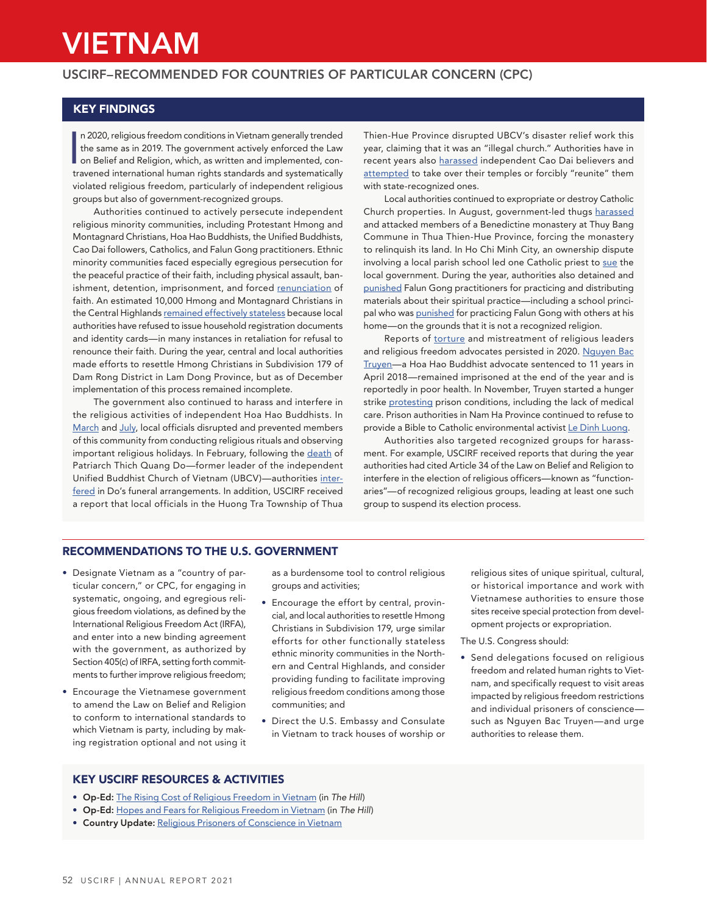# VIETNAM

## USCIRF–RECOMMENDED FOR COUNTRIES OF PARTICULAR CONCERN (CPC)

## KEY FINDINGS

I n 2020, religious freedom conditions in Vietnam generally trended the same as in 2019. The government actively enforced the Law on Belief and Religion, which, as written and implemented, contravened international human rights standards and systematically violated religious freedom, particularly of independent religious groups but also of government-recognized groups.

Authorities continued to actively persecute independent religious minority communities, including Protestant Hmong and Montagnard Christians, Hoa Hao Buddhists, the Unified Buddhists, Cao Dai followers, Catholics, and Falun Gong practitioners. Ethnic minority communities faced especially egregious persecution for the peaceful practice of their faith, including physical assault, banishment, detention, imprisonment, and forced [renunciation](https://www.persecution.org/2020/12/09/imprisoned-pastors-son-asked-renounce-faith-faces-death-threats-vietnam/) of faith. An estimated 10,000 Hmong and Montagnard Christians in the Central Highlands [remained effectively stateless](https://www.persecution.org/2020/07/24/local-vietnamese-government-announces-infrastructure-plan-aid-ethnic-minority-christians/) because local authorities have refused to issue household registration documents and identity cards—in many instances in retaliation for refusal to renounce their faith. During the year, central and local authorities made efforts to resettle Hmong Christians in Subdivision 179 of Dam Rong District in Lam Dong Province, but as of December implementation of this process remained incomplete.

The government also continued to harass and interfere in the religious activities of independent Hoa Hao Buddhists. In [March](https://www.thevietnamese.org/2020/07/religion-bulletin-march-2020/) and [July](https://www.thevietnamese.org/2020/09/religion-bulletin-july-2020/), local officials disrupted and prevented members of this community from conducting religious rituals and observing important religious holidays. In February, following the [death](https://www.uscirf.gov/news-room/releases-statements/uscirf-mourns-passing-patriarch-thich-quang-do) of Patriarch Thich Quang Do—former leader of the independent Unified Buddhist Church of Vietnam (UBCV)—authorities [inter](https://www.thevietnamese.org/2020/12/2020-10-religious-problems-that-the-vietnamese-government-doesnt-want-you-to-know-about/)[fered](https://www.thevietnamese.org/2020/12/2020-10-religious-problems-that-the-vietnamese-government-doesnt-want-you-to-know-about/) in Do's funeral arrangements. In addition, USCIRF received a report that local officials in the Huong Tra Township of Thua

Thien-Hue Province disrupted UBCV's disaster relief work this year, claiming that it was an "illegal church." Authorities have in recent years also [harassed](https://www.thevietnamese.org/2020/12/religion-bulletin-september-2020-the-fate-of-independent-cao-dai-temples/) independent Cao Dai believers and [attempted](https://www.thevietnamese.org/2020/08/religion-bulletin-june-2020/) to take over their temples or forcibly "reunite" them with state-recognized ones.

Local authorities continued to expropriate or destroy Catholic Church properties. In August, government-led thugs [harassed](https://www.ucanews.com/news/land-grabbers-harass-monks-at-vietnamese-monastery/89138) and attacked members of a Benedictine monastery at Thuy Bang Commune in Thua Thien-Hue Province, forcing the monastery to relinquish its land. In Ho Chi Minh City, an ownership dispute involving a local parish school led one Catholic priest to [sue](https://www.persecution.org/2020/12/11/vietnamese-priest-sues-church-church-property/) the local government. During the year, authorities also detained and [punished](https://www.thevietnamese.org/2020/12/2020-10-religious-problems-that-the-vietnamese-government-doesnt-want-you-to-know-about/) Falun Gong practitioners for practicing and distributing materials about their spiritual practice—including a school principal who was [punished](https://www.thevietnamese.org/2020/08/religion-bulletin-june-2020/) for practicing Falun Gong with others at his home—on the grounds that it is not a recognized religion.

Reports of [torture](https://www.persecution.org/2020/07/05/family-imprisoned-vietnamese-pastor-beaten-detained/) and mistreatment of religious leaders and religious freedom advocates persisted in 2020. [Nguyen Bac](https://www.uscirf.gov/religious-prisoners-conscience/current-rpocs/nguyen-bac-truyen)  [Truyen—](https://www.uscirf.gov/religious-prisoners-conscience/current-rpocs/nguyen-bac-truyen)a Hoa Hao Buddhist advocate sentenced to 11 years in April 2018—remained imprisoned at the end of the year and is reportedly in poor health. In November, Truyen started a hunger strike [protesting](https://www.voanews.com/press-freedom/bloggers-activists-stage-hunger-strike-over-vietnam-prison-conditions) prison conditions, including the lack of medical care. Prison authorities in Nam Ha Province continued to refuse to provide a Bible to Catholic environmental activist [Le Dinh Luong.](https://www.persecution.org/2020/10/13/imprisoned-vietnamese-activist-banned-reading-bible/)

Authorities also targeted recognized groups for harassment. For example, USCIRF received reports that during the year authorities had cited Article 34 of the Law on Belief and Religion to interfere in the election of religious officers—known as "functionaries"—of recognized religious groups, leading at least one such group to suspend its election process.

## RECOMMENDATIONS TO THE U.S. GOVERNMENT

- Designate Vietnam as a "country of particular concern," or CPC, for engaging in systematic, ongoing, and egregious religious freedom violations, as defined by the International Religious Freedom Act (IRFA), and enter into a new binding agreement with the government, as authorized by Section 405(c) of IRFA, setting forth commitments to further improve religious freedom;
- Encourage the Vietnamese government to amend the Law on Belief and Religion to conform to international standards to which Vietnam is party, including by making registration optional and not using it

as a burdensome tool to control religious groups and activities;

- Encourage the effort by central, provincial, and local authorities to resettle Hmong Christians in Subdivision 179, urge similar efforts for other functionally stateless ethnic minority communities in the Northern and Central Highlands, and consider providing funding to facilitate improving religious freedom conditions among those communities; and
- Direct the U.S. Embassy and Consulate in Vietnam to track houses of worship or

religious sites of unique spiritual, cultural, or historical importance and work with Vietnamese authorities to ensure those sites receive special protection from development projects or expropriation.

#### The U.S. Congress should:

• Send delegations focused on religious freedom and related human rights to Vietnam, and specifically request to visit areas impacted by religious freedom restrictions and individual prisoners of conscience such as Nguyen Bac Truyen—and urge authorities to release them.

## KEY USCIRF RESOURCES & ACTIVITIES

- Op-Ed: [The Rising Cost of Religious Freedom in Vietnam](https://thehill.com/blogs/congress-blog/foreign-policy/494450-the-rising-cost-of-religious-freedom-in-vietnam) (in *The Hill*)
- Op-Ed: [Hopes and Fears for Religious Freedom in Vietnam](https://thehill.com/blogs/congress-blog/religious-rights/512929-hopes-and-fears-for-religious-freedom-in-vietnam) (in *The Hill*)
- Country Update: [Religious Prisoners of Conscience in Vietnam](https://www.uscirf.gov/sites/default/files/2020%20Vietnam%20RPOCs%20Country%20Update.pdf)